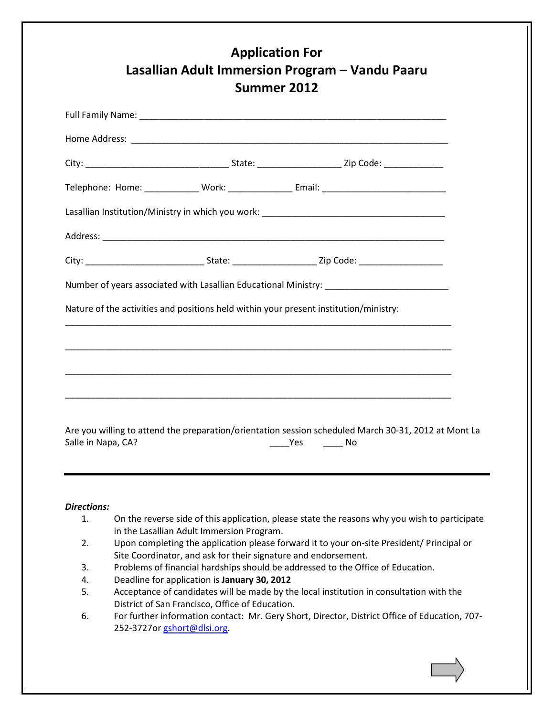|                                          | Lasallian Institution/Ministry in which you work: _______________________________                                                          |     |    |  |
|------------------------------------------|--------------------------------------------------------------------------------------------------------------------------------------------|-----|----|--|
|                                          |                                                                                                                                            |     |    |  |
|                                          |                                                                                                                                            |     |    |  |
|                                          |                                                                                                                                            |     |    |  |
|                                          |                                                                                                                                            |     |    |  |
|                                          | Nature of the activities and positions held within your present institution/ministry:                                                      |     |    |  |
|                                          |                                                                                                                                            |     |    |  |
|                                          |                                                                                                                                            |     |    |  |
|                                          |                                                                                                                                            |     |    |  |
|                                          | <u> 1989 - Andrea Santa Andrea Santa Andrea Santa Andrea Santa Andrea Santa Andrea Santa Andrea Santa Andrea San</u>                       |     |    |  |
|                                          |                                                                                                                                            |     |    |  |
|                                          | <u> 1989 - Johann Stoff, deutscher Stoff, der Stoff, der Stoff, der Stoff, der Stoff, der Stoff, der Stoff, der S</u>                      |     |    |  |
|                                          |                                                                                                                                            |     |    |  |
|                                          |                                                                                                                                            |     |    |  |
|                                          | Are you willing to attend the preparation/orientation session scheduled March 30-31, 2012 at Mont La                                       |     |    |  |
|                                          |                                                                                                                                            | Yes | No |  |
|                                          |                                                                                                                                            |     |    |  |
|                                          |                                                                                                                                            |     |    |  |
|                                          |                                                                                                                                            |     |    |  |
|                                          |                                                                                                                                            |     |    |  |
|                                          |                                                                                                                                            |     |    |  |
| 1.                                       | On the reverse side of this application, please state the reasons why you wish to participate                                              |     |    |  |
|                                          | in the Lasallian Adult Immersion Program.                                                                                                  |     |    |  |
| 2.                                       | Upon completing the application please forward it to your on-site President/ Principal or                                                  |     |    |  |
| Salle in Napa, CA?<br><b>Directions:</b> | Site Coordinator, and ask for their signature and endorsement.                                                                             |     |    |  |
| 3.                                       | Problems of financial hardships should be addressed to the Office of Education.                                                            |     |    |  |
| 4.                                       | Deadline for application is January 30, 2012                                                                                               |     |    |  |
| 5.                                       | Acceptance of candidates will be made by the local institution in consultation with the<br>District of San Francisco, Office of Education. |     |    |  |